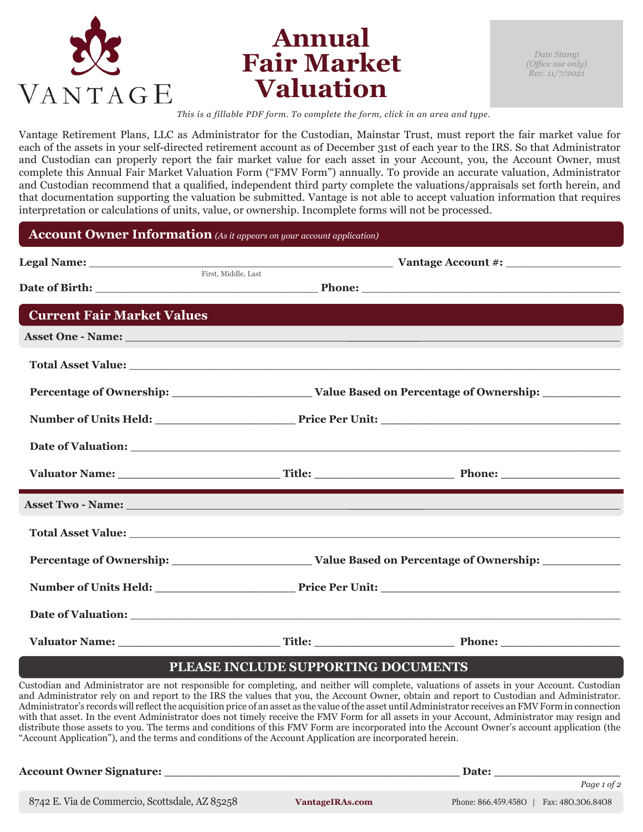

## **Annual Fair Market Valuation**

*This is a fillable PDF form. To complete the form, click in an area and type.*

Vantage Retirement Plans, LLC as Administrator for the Custodian, Mainstar Trust, must report the fair market value for each of the assets in your self-directed retirement account as of December 31st of each year to the IRS. So that Administrator and Custodian can properly report the fair market value for each asset in your Account, you, the Account Owner, must complete this Annual Fair Market Valuation Form ("FMV Form") annually. To provide an accurate valuation, Administrator and Custodian recommend that a qualified, independent third party complete the valuations/appraisals set forth herein, and that documentation supporting the valuation be submitted. Vantage is not able to accept valuation information that requires interpretation or calculations of units, value, or ownership. Incomplete forms will not be processed.

## **Account Owner Information** *(As it appears on your account application)*

|                                   | <b>Example 1 Alliers Count 4:</b> Example 2 Account 4: Example 2 Account 4: Example 2 Account 4: Example 2 Account 4: Example 2 Account 4: Example 2 Account 4: Example 2 Account 4: Example 2 Account 4: Example 2 Account 4: Exam |  |
|-----------------------------------|-------------------------------------------------------------------------------------------------------------------------------------------------------------------------------------------------------------------------------------|--|
|                                   |                                                                                                                                                                                                                                     |  |
| <b>Current Fair Market Values</b> |                                                                                                                                                                                                                                     |  |
|                                   |                                                                                                                                                                                                                                     |  |
|                                   |                                                                                                                                                                                                                                     |  |
|                                   |                                                                                                                                                                                                                                     |  |
|                                   |                                                                                                                                                                                                                                     |  |
|                                   |                                                                                                                                                                                                                                     |  |
|                                   |                                                                                                                                                                                                                                     |  |
|                                   |                                                                                                                                                                                                                                     |  |
|                                   |                                                                                                                                                                                                                                     |  |
|                                   |                                                                                                                                                                                                                                     |  |
|                                   |                                                                                                                                                                                                                                     |  |
|                                   |                                                                                                                                                                                                                                     |  |
|                                   |                                                                                                                                                                                                                                     |  |

## **PLEASE INCLUDE SUPPORTING DOCUMENTS**

Custodian and Administrator are not responsible for completing, and neither will complete, valuations of assets in your Account. Custodian and Administrator rely on and report to the IRS the values that you, the Account Owner, obtain and report to Custodian and Administrator. Administrator's records will reflect the acquisition price of an asset as the value of the asset until Administrator receives an FMV Form in connection with that asset. In the event Administrator does not timely receive the FMV Form for all assets in your Account, Administrator may resign and distribute those assets to you. The terms and conditions of this FMV Form are incorporated into the Account Owner's account application (the "Account Application"), and the terms and conditions of the Account Application are incorporated herein.

*Page 1 of 2* **Account Owner Signature: \_\_\_\_\_\_\_\_\_\_\_\_\_\_\_\_\_\_\_\_\_\_\_\_\_\_\_\_\_\_\_\_\_\_\_\_\_\_\_\_ Date: \_\_\_\_\_\_\_\_\_\_\_\_\_\_\_\_\_** 8742 E. Via de Commercio, Scottsdale, AZ 85258 **VantageIRAs.com** Phone: 866.459.458O | Fax: 48O.3O6.84O8